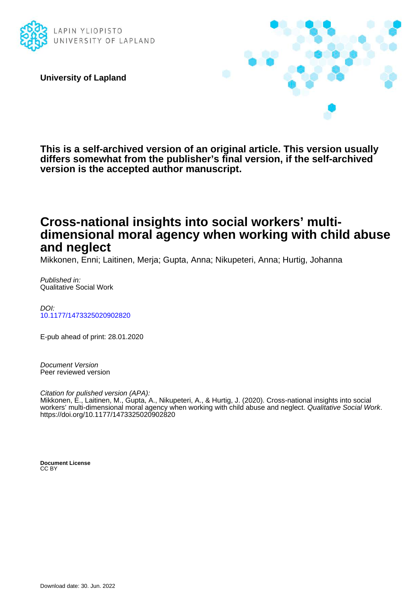

**University of Lapland**



**This is a self-archived version of an original article. This version usually differs somewhat from the publisher's final version, if the self-archived version is the accepted author manuscript.**

# **Cross-national insights into social workers' multidimensional moral agency when working with child abuse and neglect**

Mikkonen, Enni; Laitinen, Merja; Gupta, Anna; Nikupeteri, Anna; Hurtig, Johanna

Published in: Qualitative Social Work

DOI: [10.1177/1473325020902820](https://doi.org/10.1177/1473325020902820)

E-pub ahead of print: 28.01.2020

Document Version Peer reviewed version

Citation for pulished version (APA):

Mikkonen, E., Laitinen, M., Gupta, A., Nikupeteri, A., & Hurtig, J. (2020). Cross-national insights into social workers' multi-dimensional moral agency when working with child abuse and neglect. Qualitative Social Work. <https://doi.org/10.1177/1473325020902820>

**Document License** CC BY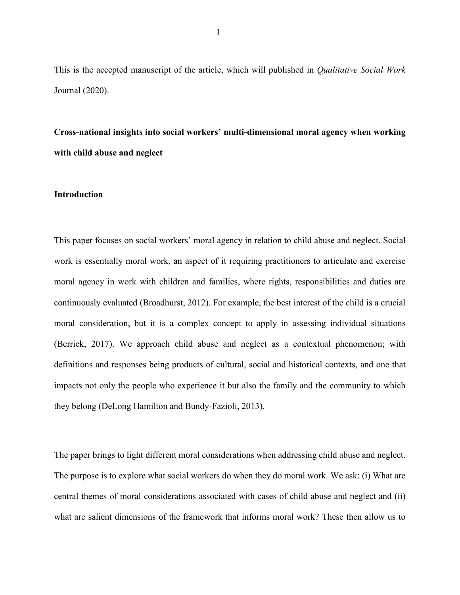This is the accepted manuscript of the article, which will published in *Qualitative Social Work*  Journal (2020).

**Cross-national insights into social workers' multi-dimensional moral agency when working with child abuse and neglect**

# **Introduction**

This paper focuses on social workers' moral agency in relation to child abuse and neglect. Social work is essentially moral work, an aspect of it requiring practitioners to articulate and exercise moral agency in work with children and families, where rights, responsibilities and duties are continuously evaluated (Broadhurst, 2012). For example, the best interest of the child is a crucial moral consideration, but it is a complex concept to apply in assessing individual situations (Berrick, 2017). We approach child abuse and neglect as a contextual phenomenon; with definitions and responses being products of cultural, social and historical contexts, and one that impacts not only the people who experience it but also the family and the community to which they belong (DeLong Hamilton and Bundy-Fazioli, 2013).

The paper brings to light different moral considerations when addressing child abuse and neglect. The purpose is to explore what social workers do when they do moral work. We ask: (i) What are central themes of moral considerations associated with cases of child abuse and neglect and (ii) what are salient dimensions of the framework that informs moral work? These then allow us to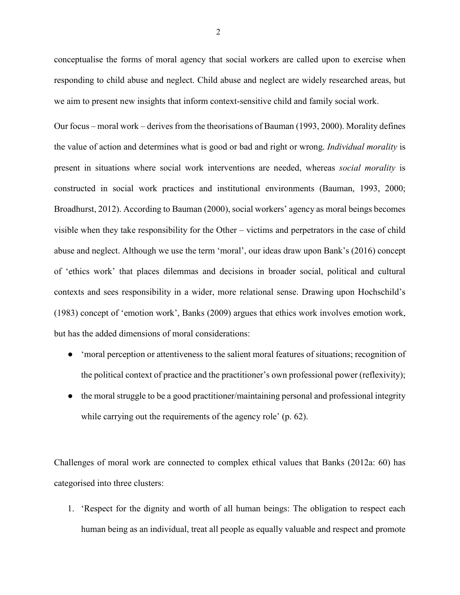conceptualise the forms of moral agency that social workers are called upon to exercise when responding to child abuse and neglect. Child abuse and neglect are widely researched areas, but we aim to present new insights that inform context-sensitive child and family social work.

Our focus – moral work – derives from the theorisations of Bauman (1993, 2000). Morality defines the value of action and determines what is good or bad and right or wrong. *Individual morality* is present in situations where social work interventions are needed, whereas *social morality* is constructed in social work practices and institutional environments (Bauman, 1993, 2000; Broadhurst, 2012). According to Bauman (2000), social workers' agency as moral beings becomes visible when they take responsibility for the Other – victims and perpetrators in the case of child abuse and neglect. Although we use the term 'moral', our ideas draw upon Bank's (2016) concept of 'ethics work' that places dilemmas and decisions in broader social, political and cultural contexts and sees responsibility in a wider, more relational sense. Drawing upon Hochschild's (1983) concept of 'emotion work', Banks (2009) argues that ethics work involves emotion work, but has the added dimensions of moral considerations:

- 'moral perception or attentiveness to the salient moral features of situations; recognition of the political context of practice and the practitioner's own professional power (reflexivity);
- the moral struggle to be a good practitioner/maintaining personal and professional integrity while carrying out the requirements of the agency role' (p. 62).

Challenges of moral work are connected to complex ethical values that Banks (2012a: 60) has categorised into three clusters:

1. 'Respect for the dignity and worth of all human beings: The obligation to respect each human being as an individual, treat all people as equally valuable and respect and promote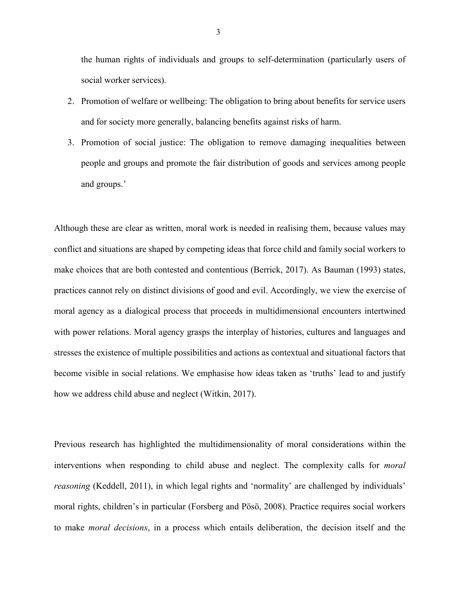the human rights of individuals and groups to self-determination (particularly users of social worker services).

- 2. Promotion of welfare or wellbeing: The obligation to bring about benefits for service users and for society more generally, balancing benefits against risks of harm.
- 3. Promotion of social justice: The obligation to remove damaging inequalities between people and groups and promote the fair distribution of goods and services among people and groups.'

Although these are clear as written, moral work is needed in realising them, because values may conflict and situations are shaped by competing ideas that force child and family social workers to make choices that are both contested and contentious (Berrick, 2017). As Bauman (1993) states, practices cannot rely on distinct divisions of good and evil. Accordingly, we view the exercise of moral agency as a dialogical process that proceeds in multidimensional encounters intertwined with power relations. Moral agency grasps the interplay of histories, cultures and languages and stresses the existence of multiple possibilities and actions as contextual and situational factors that become visible in social relations. We emphasise how ideas taken as 'truths' lead to and justify how we address child abuse and neglect (Witkin, 2017).

Previous research has highlighted the multidimensionality of moral considerations within the interventions when responding to child abuse and neglect. The complexity calls for *moral reasoning* (Keddell, 2011), in which legal rights and 'normality' are challenged by individuals' moral rights, children's in particular (Forsberg and Pösö, 2008). Practice requires social workers to make *moral decisions*, in a process which entails deliberation, the decision itself and the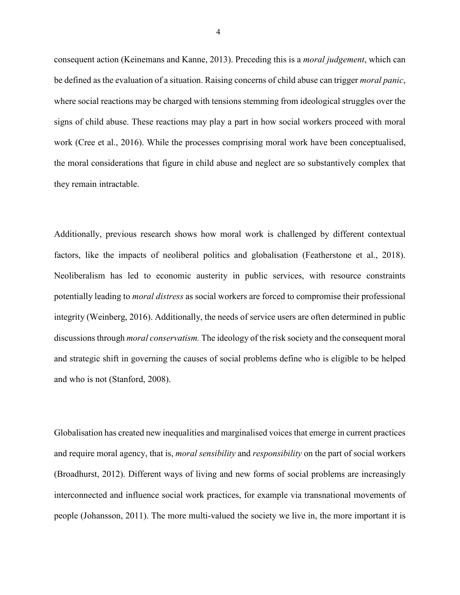consequent action (Keinemans and Kanne, 2013). Preceding this is a *moral judgement*, which can be defined as the evaluation of a situation. Raising concerns of child abuse can trigger *moral panic*, where social reactions may be charged with tensions stemming from ideological struggles over the signs of child abuse. These reactions may play a part in how social workers proceed with moral work (Cree et al., 2016). While the processes comprising moral work have been conceptualised, the moral considerations that figure in child abuse and neglect are so substantively complex that they remain intractable.

Additionally, previous research shows how moral work is challenged by different contextual factors, like the impacts of neoliberal politics and globalisation (Featherstone et al., 2018). Neoliberalism has led to economic austerity in public services, with resource constraints potentially leading to *moral distress* as social workers are forced to compromise their professional integrity (Weinberg, 2016). Additionally, the needs of service users are often determined in public discussions through *moral conservatism.* The ideology of the risk society and the consequent moral and strategic shift in governing the causes of social problems define who is eligible to be helped and who is not (Stanford, 2008).

Globalisation has created new inequalities and marginalised voices that emerge in current practices and require moral agency, that is, *moral sensibility* and *responsibility* on the part of social workers (Broadhurst, 2012). Different ways of living and new forms of social problems are increasingly interconnected and influence social work practices, for example via transnational movements of people (Johansson, 2011). The more multi-valued the society we live in, the more important it is

4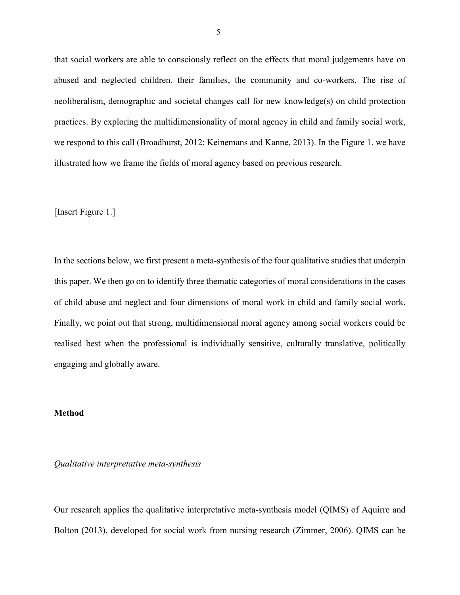that social workers are able to consciously reflect on the effects that moral judgements have on abused and neglected children, their families, the community and co-workers. The rise of neoliberalism, demographic and societal changes call for new knowledge(s) on child protection practices. By exploring the multidimensionality of moral agency in child and family social work, we respond to this call (Broadhurst, 2012; Keinemans and Kanne, 2013). In the Figure 1. we have illustrated how we frame the fields of moral agency based on previous research.

[Insert Figure 1.]

In the sections below, we first present a meta-synthesis of the four qualitative studies that underpin this paper. We then go on to identify three thematic categories of moral considerations in the cases of child abuse and neglect and four dimensions of moral work in child and family social work. Finally, we point out that strong, multidimensional moral agency among social workers could be realised best when the professional is individually sensitive, culturally translative, politically engaging and globally aware.

## **Method**

*Qualitative interpretative meta-synthesis*

Our research applies the qualitative interpretative meta-synthesis model (QIMS) of Aquirre and Bolton (2013), developed for social work from nursing research (Zimmer, 2006). QIMS can be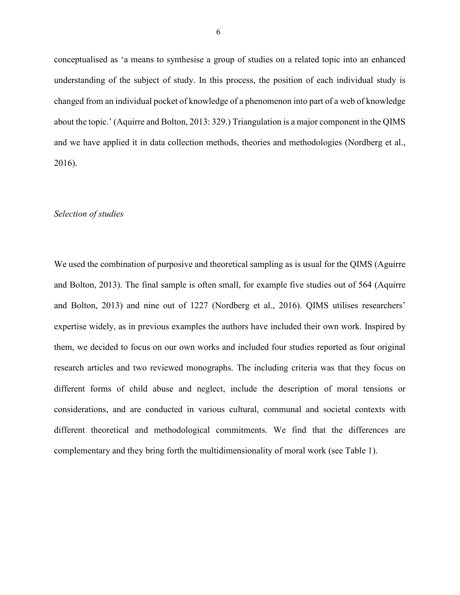conceptualised as 'a means to synthesise a group of studies on a related topic into an enhanced understanding of the subject of study. In this process, the position of each individual study is changed from an individual pocket of knowledge of a phenomenon into part of a web of knowledge about the topic.' (Aquirre and Bolton, 2013: 329.) Triangulation is a major component in the QIMS and we have applied it in data collection methods, theories and methodologies (Nordberg et al., 2016).

#### *Selection of studies*

We used the combination of purposive and theoretical sampling as is usual for the QIMS (Aguirre and Bolton, 2013). The final sample is often small, for example five studies out of 564 (Aquirre and Bolton, 2013) and nine out of 1227 (Nordberg et al., 2016). QIMS utilises researchers' expertise widely, as in previous examples the authors have included their own work. Inspired by them, we decided to focus on our own works and included four studies reported as four original research articles and two reviewed monographs. The including criteria was that they focus on different forms of child abuse and neglect, include the description of moral tensions or considerations, and are conducted in various cultural, communal and societal contexts with different theoretical and methodological commitments. We find that the differences are complementary and they bring forth the multidimensionality of moral work (see Table 1).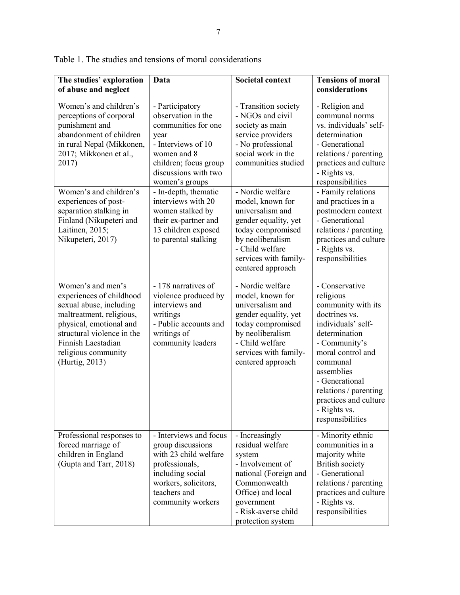| The studies' exploration<br>of abuse and neglect                                                                                                                                                                             | Data                                                                                                                                                                         | <b>Societal context</b>                                                                                                                                                                    | <b>Tensions of moral</b><br>considerations                                                                                                                                                                                                                                        |
|------------------------------------------------------------------------------------------------------------------------------------------------------------------------------------------------------------------------------|------------------------------------------------------------------------------------------------------------------------------------------------------------------------------|--------------------------------------------------------------------------------------------------------------------------------------------------------------------------------------------|-----------------------------------------------------------------------------------------------------------------------------------------------------------------------------------------------------------------------------------------------------------------------------------|
| Women's and children's<br>perceptions of corporal<br>punishment and<br>abandonment of children<br>in rural Nepal (Mikkonen,<br>2017; Mikkonen et al.,<br>2017)                                                               | - Participatory<br>observation in the<br>communities for one<br>year<br>- Interviews of 10<br>women and 8<br>children; focus group<br>discussions with two<br>women's groups | - Transition society<br>- NGOs and civil<br>society as main<br>service providers<br>- No professional<br>social work in the<br>communities studied                                         | - Religion and<br>communal norms<br>vs. individuals' self-<br>determination<br>- Generational<br>relations / parenting<br>practices and culture<br>- Rights vs.<br>responsibilities                                                                                               |
| Women's and children's<br>experiences of post-<br>separation stalking in<br>Finland (Nikupeteri and<br>Laitinen, 2015;<br>Nikupeteri, 2017)                                                                                  | - In-depth, thematic<br>interviews with 20<br>women stalked by<br>their ex-partner and<br>13 children exposed<br>to parental stalking                                        | - Nordic welfare<br>model, known for<br>universalism and<br>gender equality, yet<br>today compromised<br>by neoliberalism<br>- Child welfare<br>services with family-<br>centered approach | - Family relations<br>and practices in a<br>postmodern context<br>- Generational<br>relations / parenting<br>practices and culture<br>- Rights vs.<br>responsibilities                                                                                                            |
| Women's and men's<br>experiences of childhood<br>sexual abuse, including<br>maltreatment, religious,<br>physical, emotional and<br>structural violence in the<br>Finnish Laestadian<br>religious community<br>(Hurtig, 2013) | - 178 narratives of<br>violence produced by<br>interviews and<br>writings<br>- Public accounts and<br>writings of<br>community leaders                                       | - Nordic welfare<br>model, known for<br>universalism and<br>gender equality, yet<br>today compromised<br>by neoliberalism<br>- Child welfare<br>services with family-<br>centered approach | - Conservative<br>religious<br>community with its<br>doctrines vs.<br>individuals' self-<br>determination<br>- Community's<br>moral control and<br>communal<br>assemblies<br>- Generational<br>relations / parenting<br>practices and culture<br>- Rights vs.<br>responsibilities |
| Professional responses to<br>forced marriage of<br>children in England<br>(Gupta and Tarr, 2018)                                                                                                                             | - Interviews and focus<br>group discussions<br>with 23 child welfare<br>professionals,<br>including social<br>workers, solicitors,<br>teachers and<br>community workers      | - Increasingly<br>residual welfare<br>system<br>- Involvement of<br>national (Foreign and<br>Commonwealth<br>Office) and local<br>government<br>- Risk-averse child<br>protection system   | - Minority ethnic<br>communities in a<br>majority white<br><b>British society</b><br>- Generational<br>relations / parenting<br>practices and culture<br>- Rights vs.<br>responsibilities                                                                                         |

Table 1. The studies and tensions of moral considerations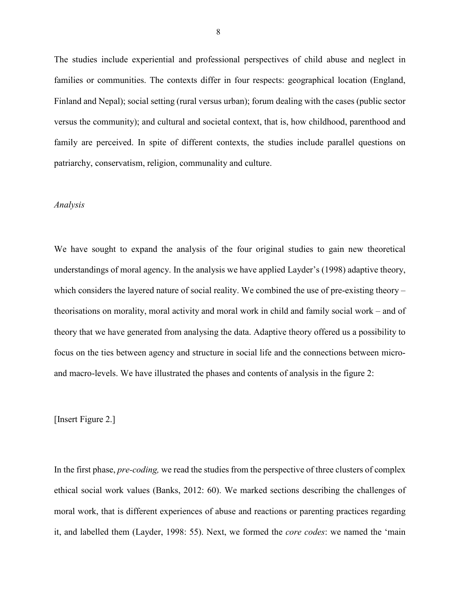The studies include experiential and professional perspectives of child abuse and neglect in families or communities. The contexts differ in four respects: geographical location (England, Finland and Nepal); social setting (rural versus urban); forum dealing with the cases (public sector versus the community); and cultural and societal context, that is, how childhood, parenthood and family are perceived. In spite of different contexts, the studies include parallel questions on patriarchy, conservatism, religion, communality and culture.

### *Analysis*

We have sought to expand the analysis of the four original studies to gain new theoretical understandings of moral agency. In the analysis we have applied Layder's (1998) adaptive theory, which considers the layered nature of social reality. We combined the use of pre-existing theory – theorisations on morality, moral activity and moral work in child and family social work – and of theory that we have generated from analysing the data. Adaptive theory offered us a possibility to focus on the ties between agency and structure in social life and the connections between microand macro-levels. We have illustrated the phases and contents of analysis in the figure 2:

[Insert Figure 2.]

In the first phase, *pre-coding,* we read the studies from the perspective of three clusters of complex ethical social work values (Banks, 2012: 60). We marked sections describing the challenges of moral work, that is different experiences of abuse and reactions or parenting practices regarding it, and labelled them (Layder, 1998: 55). Next, we formed the *core codes*: we named the 'main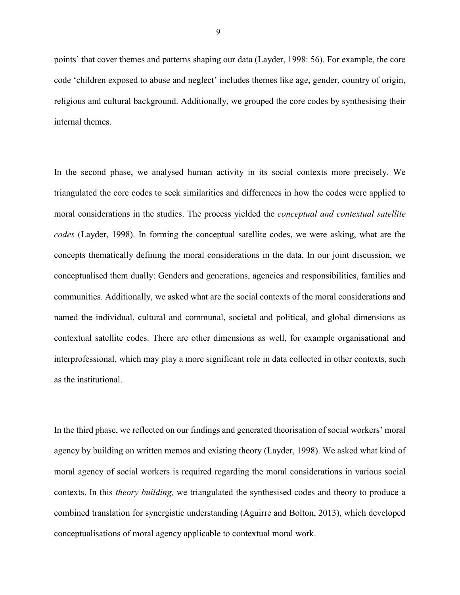points' that cover themes and patterns shaping our data (Layder, 1998: 56). For example, the core code 'children exposed to abuse and neglect' includes themes like age, gender, country of origin, religious and cultural background. Additionally, we grouped the core codes by synthesising their internal themes.

In the second phase, we analysed human activity in its social contexts more precisely. We triangulated the core codes to seek similarities and differences in how the codes were applied to moral considerations in the studies. The process yielded the *conceptual and contextual satellite codes* (Layder, 1998). In forming the conceptual satellite codes, we were asking, what are the concepts thematically defining the moral considerations in the data. In our joint discussion, we conceptualised them dually: Genders and generations, agencies and responsibilities, families and communities. Additionally, we asked what are the social contexts of the moral considerations and named the individual, cultural and communal, societal and political, and global dimensions as contextual satellite codes. There are other dimensions as well, for example organisational and interprofessional, which may play a more significant role in data collected in other contexts, such as the institutional.

In the third phase, we reflected on our findings and generated theorisation of social workers' moral agency by building on written memos and existing theory (Layder, 1998). We asked what kind of moral agency of social workers is required regarding the moral considerations in various social contexts. In this *theory building,* we triangulated the synthesised codes and theory to produce a combined translation for synergistic understanding (Aguirre and Bolton, 2013), which developed conceptualisations of moral agency applicable to contextual moral work.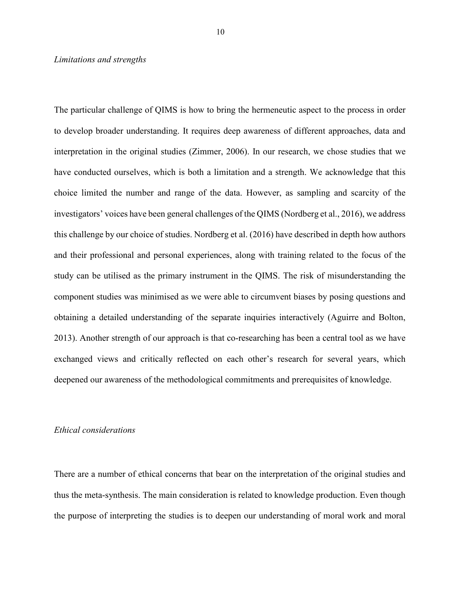#### *Limitations and strengths*

The particular challenge of QIMS is how to bring the hermeneutic aspect to the process in order to develop broader understanding. It requires deep awareness of different approaches, data and interpretation in the original studies (Zimmer, 2006). In our research, we chose studies that we have conducted ourselves, which is both a limitation and a strength. We acknowledge that this choice limited the number and range of the data. However, as sampling and scarcity of the investigators' voices have been general challenges of the QIMS (Nordberg et al., 2016), we address this challenge by our choice of studies. Nordberg et al. (2016) have described in depth how authors and their professional and personal experiences, along with training related to the focus of the study can be utilised as the primary instrument in the QIMS. The risk of misunderstanding the component studies was minimised as we were able to circumvent biases by posing questions and obtaining a detailed understanding of the separate inquiries interactively (Aguirre and Bolton, 2013). Another strength of our approach is that co-researching has been a central tool as we have exchanged views and critically reflected on each other's research for several years, which deepened our awareness of the methodological commitments and prerequisites of knowledge.

# *Ethical considerations*

There are a number of ethical concerns that bear on the interpretation of the original studies and thus the meta-synthesis. The main consideration is related to knowledge production. Even though the purpose of interpreting the studies is to deepen our understanding of moral work and moral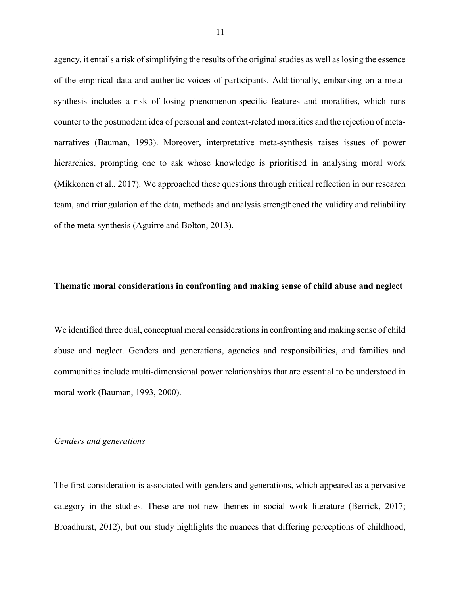agency, it entails a risk of simplifying the results of the original studies as well as losing the essence of the empirical data and authentic voices of participants. Additionally, embarking on a metasynthesis includes a risk of losing phenomenon-specific features and moralities, which runs counter to the postmodern idea of personal and context-related moralities and the rejection of metanarratives (Bauman, 1993). Moreover, interpretative meta-synthesis raises issues of power hierarchies, prompting one to ask whose knowledge is prioritised in analysing moral work (Mikkonen et al., 2017). We approached these questions through critical reflection in our research team, and triangulation of the data, methods and analysis strengthened the validity and reliability of the meta-synthesis (Aguirre and Bolton, 2013).

## **Thematic moral considerations in confronting and making sense of child abuse and neglect**

We identified three dual, conceptual moral considerations in confronting and making sense of child abuse and neglect. Genders and generations, agencies and responsibilities, and families and communities include multi-dimensional power relationships that are essential to be understood in moral work (Bauman, 1993, 2000).

## *Genders and generations*

The first consideration is associated with genders and generations, which appeared as a pervasive category in the studies. These are not new themes in social work literature (Berrick, 2017; Broadhurst, 2012), but our study highlights the nuances that differing perceptions of childhood,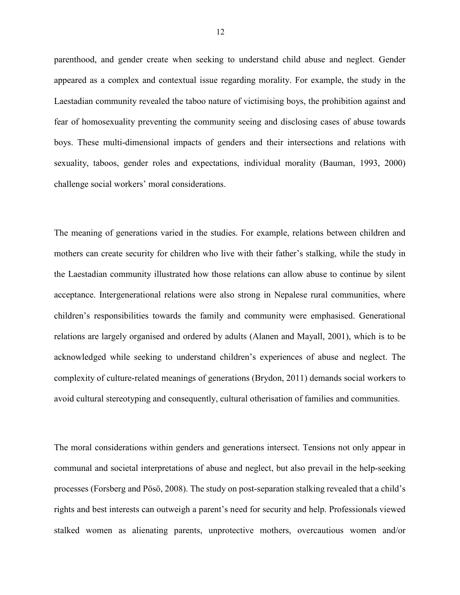parenthood, and gender create when seeking to understand child abuse and neglect. Gender appeared as a complex and contextual issue regarding morality. For example, the study in the Laestadian community revealed the taboo nature of victimising boys, the prohibition against and fear of homosexuality preventing the community seeing and disclosing cases of abuse towards boys. These multi-dimensional impacts of genders and their intersections and relations with sexuality, taboos, gender roles and expectations, individual morality (Bauman, 1993, 2000) challenge social workers' moral considerations.

The meaning of generations varied in the studies. For example, relations between children and mothers can create security for children who live with their father's stalking, while the study in the Laestadian community illustrated how those relations can allow abuse to continue by silent acceptance. Intergenerational relations were also strong in Nepalese rural communities, where children's responsibilities towards the family and community were emphasised. Generational relations are largely organised and ordered by adults (Alanen and Mayall, 2001), which is to be acknowledged while seeking to understand children's experiences of abuse and neglect. The complexity of culture-related meanings of generations (Brydon, 2011) demands social workers to avoid cultural stereotyping and consequently, cultural otherisation of families and communities.

The moral considerations within genders and generations intersect. Tensions not only appear in communal and societal interpretations of abuse and neglect, but also prevail in the help-seeking processes (Forsberg and Pösö, 2008). The study on post-separation stalking revealed that a child's rights and best interests can outweigh a parent's need for security and help. Professionals viewed stalked women as alienating parents, unprotective mothers, overcautious women and/or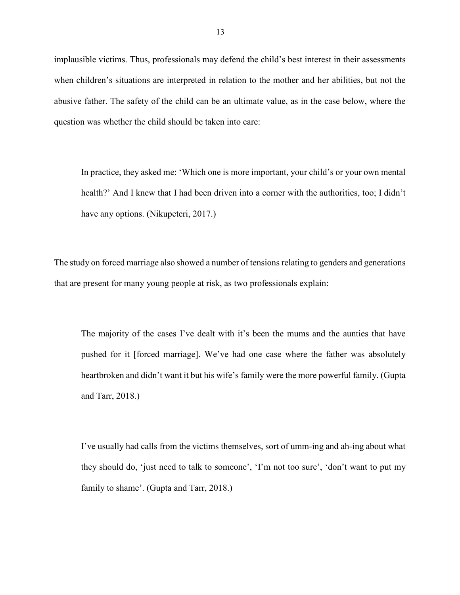implausible victims. Thus, professionals may defend the child's best interest in their assessments when children's situations are interpreted in relation to the mother and her abilities, but not the abusive father. The safety of the child can be an ultimate value, as in the case below, where the question was whether the child should be taken into care:

In practice, they asked me: 'Which one is more important, your child's or your own mental health?' And I knew that I had been driven into a corner with the authorities, too; I didn't have any options. (Nikupeteri, 2017.)

The study on forced marriage also showed a number of tensions relating to genders and generations that are present for many young people at risk, as two professionals explain:

The majority of the cases I've dealt with it's been the mums and the aunties that have pushed for it [forced marriage]. We've had one case where the father was absolutely heartbroken and didn't want it but his wife's family were the more powerful family. (Gupta and Tarr, 2018.)

I've usually had calls from the victims themselves, sort of umm-ing and ah-ing about what they should do, 'just need to talk to someone', 'I'm not too sure', 'don't want to put my family to shame'. (Gupta and Tarr, 2018.)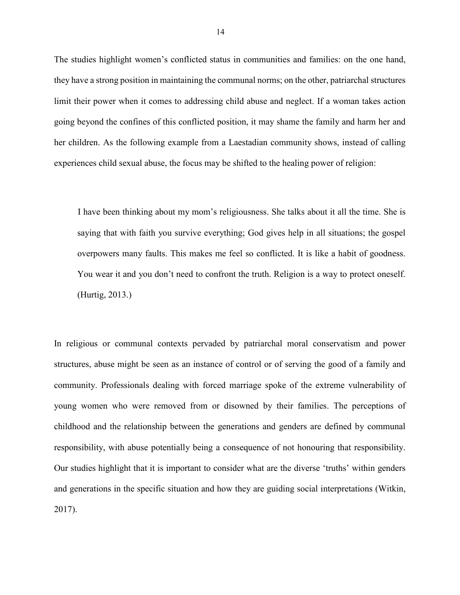The studies highlight women's conflicted status in communities and families: on the one hand, they have a strong position in maintaining the communal norms; on the other, patriarchal structures limit their power when it comes to addressing child abuse and neglect. If a woman takes action going beyond the confines of this conflicted position, it may shame the family and harm her and her children. As the following example from a Laestadian community shows, instead of calling experiences child sexual abuse, the focus may be shifted to the healing power of religion:

I have been thinking about my mom's religiousness. She talks about it all the time. She is saying that with faith you survive everything; God gives help in all situations; the gospel overpowers many faults. This makes me feel so conflicted. It is like a habit of goodness. You wear it and you don't need to confront the truth. Religion is a way to protect oneself. (Hurtig, 2013.)

In religious or communal contexts pervaded by patriarchal moral conservatism and power structures, abuse might be seen as an instance of control or of serving the good of a family and community. Professionals dealing with forced marriage spoke of the extreme vulnerability of young women who were removed from or disowned by their families. The perceptions of childhood and the relationship between the generations and genders are defined by communal responsibility, with abuse potentially being a consequence of not honouring that responsibility. Our studies highlight that it is important to consider what are the diverse 'truths' within genders and generations in the specific situation and how they are guiding social interpretations (Witkin, 2017).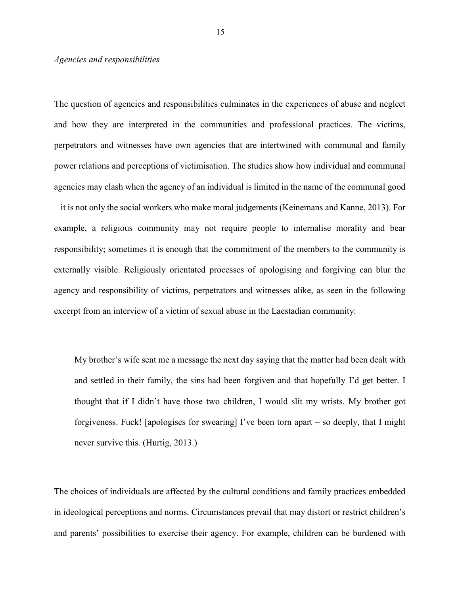### *Agencies and responsibilities*

The question of agencies and responsibilities culminates in the experiences of abuse and neglect and how they are interpreted in the communities and professional practices. The victims, perpetrators and witnesses have own agencies that are intertwined with communal and family power relations and perceptions of victimisation. The studies show how individual and communal agencies may clash when the agency of an individual is limited in the name of the communal good – it is not only the social workers who make moral judgements (Keinemans and Kanne, 2013). For example, a religious community may not require people to internalise morality and bear responsibility; sometimes it is enough that the commitment of the members to the community is externally visible. Religiously orientated processes of apologising and forgiving can blur the agency and responsibility of victims, perpetrators and witnesses alike, as seen in the following excerpt from an interview of a victim of sexual abuse in the Laestadian community:

My brother's wife sent me a message the next day saying that the matter had been dealt with and settled in their family, the sins had been forgiven and that hopefully I'd get better. I thought that if I didn't have those two children, I would slit my wrists. My brother got forgiveness. Fuck! [apologises for swearing] I've been torn apart – so deeply, that I might never survive this. (Hurtig, 2013.)

The choices of individuals are affected by the cultural conditions and family practices embedded in ideological perceptions and norms. Circumstances prevail that may distort or restrict children's and parents' possibilities to exercise their agency. For example, children can be burdened with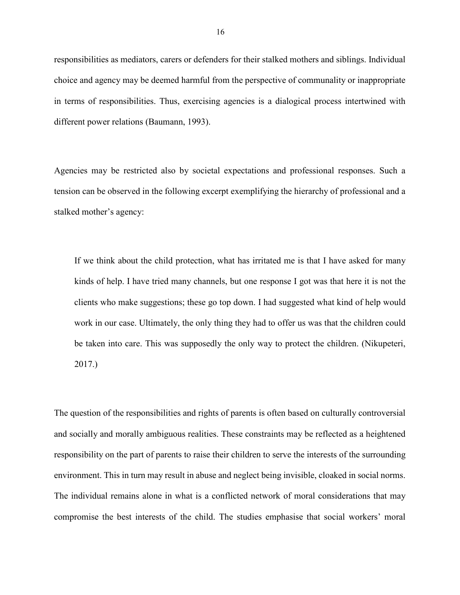responsibilities as mediators, carers or defenders for their stalked mothers and siblings. Individual choice and agency may be deemed harmful from the perspective of communality or inappropriate in terms of responsibilities. Thus, exercising agencies is a dialogical process intertwined with different power relations (Baumann, 1993).

Agencies may be restricted also by societal expectations and professional responses. Such a tension can be observed in the following excerpt exemplifying the hierarchy of professional and a stalked mother's agency:

If we think about the child protection, what has irritated me is that I have asked for many kinds of help. I have tried many channels, but one response I got was that here it is not the clients who make suggestions; these go top down. I had suggested what kind of help would work in our case. Ultimately, the only thing they had to offer us was that the children could be taken into care. This was supposedly the only way to protect the children. (Nikupeteri, 2017.)

The question of the responsibilities and rights of parents is often based on culturally controversial and socially and morally ambiguous realities. These constraints may be reflected as a heightened responsibility on the part of parents to raise their children to serve the interests of the surrounding environment. This in turn may result in abuse and neglect being invisible, cloaked in social norms. The individual remains alone in what is a conflicted network of moral considerations that may compromise the best interests of the child. The studies emphasise that social workers' moral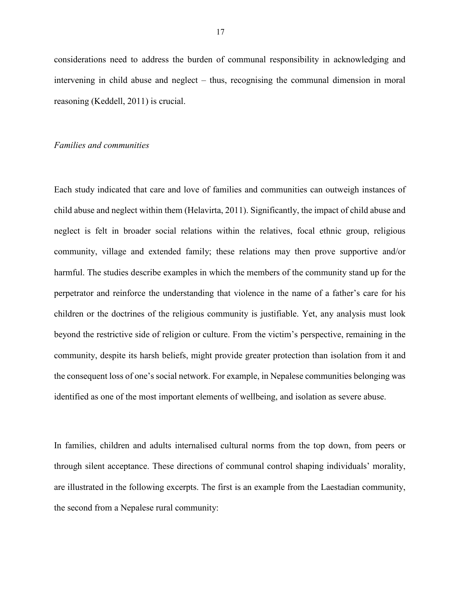considerations need to address the burden of communal responsibility in acknowledging and intervening in child abuse and neglect – thus, recognising the communal dimension in moral reasoning (Keddell, 2011) is crucial.

#### *Families and communities*

Each study indicated that care and love of families and communities can outweigh instances of child abuse and neglect within them (Helavirta, 2011). Significantly, the impact of child abuse and neglect is felt in broader social relations within the relatives, focal ethnic group, religious community, village and extended family; these relations may then prove supportive and/or harmful. The studies describe examples in which the members of the community stand up for the perpetrator and reinforce the understanding that violence in the name of a father's care for his children or the doctrines of the religious community is justifiable. Yet, any analysis must look beyond the restrictive side of religion or culture. From the victim's perspective, remaining in the community, despite its harsh beliefs, might provide greater protection than isolation from it and the consequent loss of one's social network. For example, in Nepalese communities belonging was identified as one of the most important elements of wellbeing, and isolation as severe abuse.

In families, children and adults internalised cultural norms from the top down, from peers or through silent acceptance. These directions of communal control shaping individuals' morality, are illustrated in the following excerpts. The first is an example from the Laestadian community, the second from a Nepalese rural community: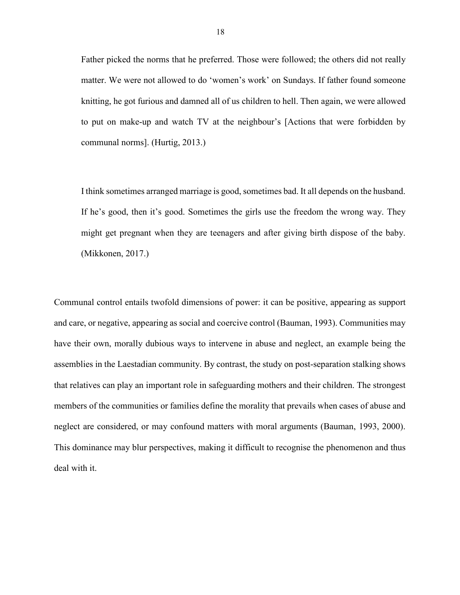Father picked the norms that he preferred. Those were followed; the others did not really matter. We were not allowed to do 'women's work' on Sundays. If father found someone knitting, he got furious and damned all of us children to hell. Then again, we were allowed to put on make-up and watch TV at the neighbour's [Actions that were forbidden by communal norms]. (Hurtig, 2013.)

I think sometimes arranged marriage is good, sometimes bad. It all depends on the husband. If he's good, then it's good. Sometimes the girls use the freedom the wrong way. They might get pregnant when they are teenagers and after giving birth dispose of the baby. (Mikkonen, 2017.)

Communal control entails twofold dimensions of power: it can be positive, appearing as support and care, or negative, appearing as social and coercive control (Bauman, 1993). Communities may have their own, morally dubious ways to intervene in abuse and neglect, an example being the assemblies in the Laestadian community. By contrast, the study on post-separation stalking shows that relatives can play an important role in safeguarding mothers and their children. The strongest members of the communities or families define the morality that prevails when cases of abuse and neglect are considered, or may confound matters with moral arguments (Bauman, 1993, 2000). This dominance may blur perspectives, making it difficult to recognise the phenomenon and thus deal with it.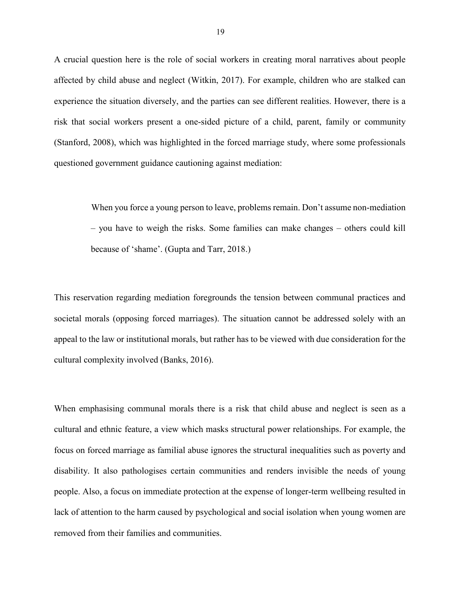A crucial question here is the role of social workers in creating moral narratives about people affected by child abuse and neglect (Witkin, 2017). For example, children who are stalked can experience the situation diversely, and the parties can see different realities. However, there is a risk that social workers present a one-sided picture of a child, parent, family or community (Stanford, 2008), which was highlighted in the forced marriage study, where some professionals questioned government guidance cautioning against mediation:

> When you force a young person to leave, problems remain. Don't assume non-mediation – you have to weigh the risks. Some families can make changes – others could kill because of 'shame'. (Gupta and Tarr, 2018.)

This reservation regarding mediation foregrounds the tension between communal practices and societal morals (opposing forced marriages). The situation cannot be addressed solely with an appeal to the law or institutional morals, but rather has to be viewed with due consideration for the cultural complexity involved (Banks, 2016).

When emphasising communal morals there is a risk that child abuse and neglect is seen as a cultural and ethnic feature, a view which masks structural power relationships. For example, the focus on forced marriage as familial abuse ignores the structural inequalities such as poverty and disability. It also pathologises certain communities and renders invisible the needs of young people. Also, a focus on immediate protection at the expense of longer-term wellbeing resulted in lack of attention to the harm caused by psychological and social isolation when young women are removed from their families and communities.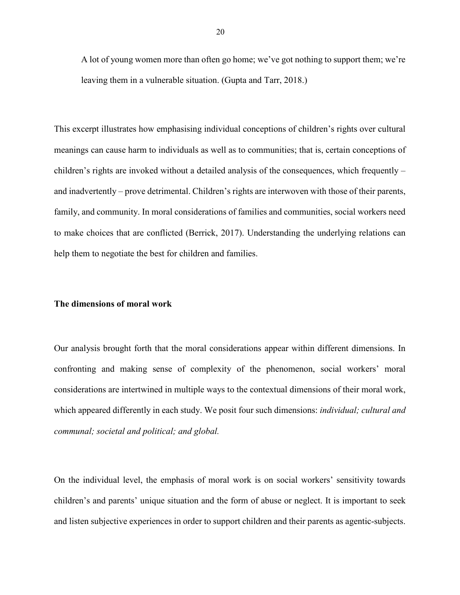A lot of young women more than often go home; we've got nothing to support them; we're leaving them in a vulnerable situation. (Gupta and Tarr, 2018.)

This excerpt illustrates how emphasising individual conceptions of children's rights over cultural meanings can cause harm to individuals as well as to communities; that is, certain conceptions of children's rights are invoked without a detailed analysis of the consequences, which frequently – and inadvertently – prove detrimental. Children's rights are interwoven with those of their parents, family, and community. In moral considerations of families and communities, social workers need to make choices that are conflicted (Berrick, 2017). Understanding the underlying relations can help them to negotiate the best for children and families.

#### **The dimensions of moral work**

Our analysis brought forth that the moral considerations appear within different dimensions. In confronting and making sense of complexity of the phenomenon, social workers' moral considerations are intertwined in multiple ways to the contextual dimensions of their moral work, which appeared differently in each study. We posit four such dimensions: *individual; cultural and communal; societal and political; and global.* 

On the individual level, the emphasis of moral work is on social workers' sensitivity towards children's and parents' unique situation and the form of abuse or neglect. It is important to seek and listen subjective experiences in order to support children and their parents as agentic-subjects.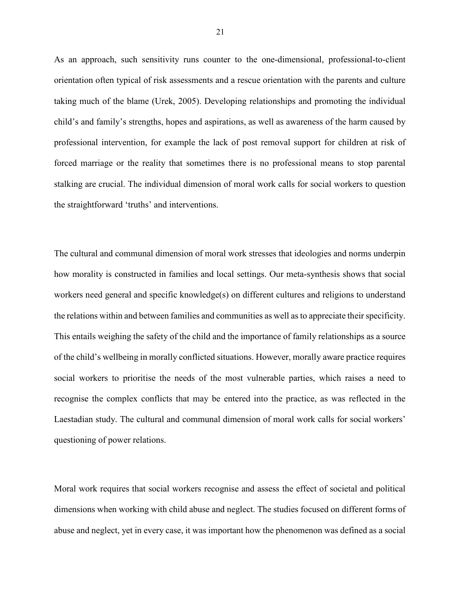As an approach, such sensitivity runs counter to the one-dimensional, professional-to-client orientation often typical of risk assessments and a rescue orientation with the parents and culture taking much of the blame (Urek, 2005). Developing relationships and promoting the individual child's and family's strengths, hopes and aspirations, as well as awareness of the harm caused by professional intervention, for example the lack of post removal support for children at risk of forced marriage or the reality that sometimes there is no professional means to stop parental stalking are crucial. The individual dimension of moral work calls for social workers to question the straightforward 'truths' and interventions.

The cultural and communal dimension of moral work stresses that ideologies and norms underpin how morality is constructed in families and local settings. Our meta-synthesis shows that social workers need general and specific knowledge(s) on different cultures and religions to understand the relations within and between families and communities as well as to appreciate their specificity. This entails weighing the safety of the child and the importance of family relationships as a source of the child's wellbeing in morally conflicted situations. However, morally aware practice requires social workers to prioritise the needs of the most vulnerable parties, which raises a need to recognise the complex conflicts that may be entered into the practice, as was reflected in the Laestadian study. The cultural and communal dimension of moral work calls for social workers' questioning of power relations.

Moral work requires that social workers recognise and assess the effect of societal and political dimensions when working with child abuse and neglect. The studies focused on different forms of abuse and neglect, yet in every case, it was important how the phenomenon was defined as a social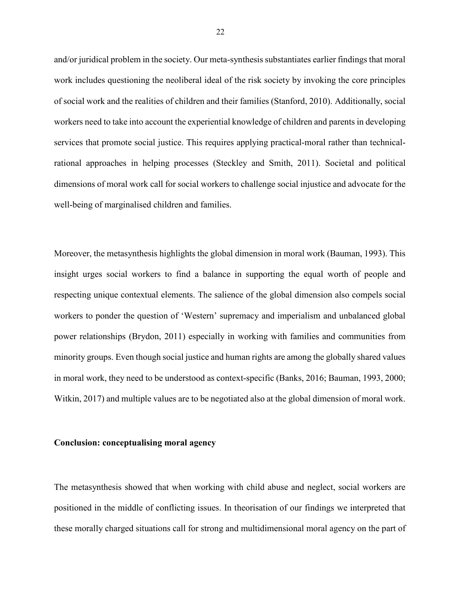and/or juridical problem in the society. Our meta-synthesis substantiates earlier findings that moral work includes questioning the neoliberal ideal of the risk society by invoking the core principles of social work and the realities of children and their families (Stanford, 2010). Additionally, social workers need to take into account the experiential knowledge of children and parents in developing services that promote social justice. This requires applying practical-moral rather than technicalrational approaches in helping processes (Steckley and Smith, 2011). Societal and political dimensions of moral work call for social workers to challenge social injustice and advocate for the well-being of marginalised children and families.

Moreover, the metasynthesis highlights the global dimension in moral work (Bauman, 1993). This insight urges social workers to find a balance in supporting the equal worth of people and respecting unique contextual elements. The salience of the global dimension also compels social workers to ponder the question of 'Western' supremacy and imperialism and unbalanced global power relationships (Brydon, 2011) especially in working with families and communities from minority groups. Even though social justice and human rights are among the globally shared values in moral work, they need to be understood as context-specific (Banks, 2016; Bauman, 1993, 2000; Witkin, 2017) and multiple values are to be negotiated also at the global dimension of moral work.

#### **Conclusion: conceptualising moral agency**

The metasynthesis showed that when working with child abuse and neglect, social workers are positioned in the middle of conflicting issues. In theorisation of our findings we interpreted that these morally charged situations call for strong and multidimensional moral agency on the part of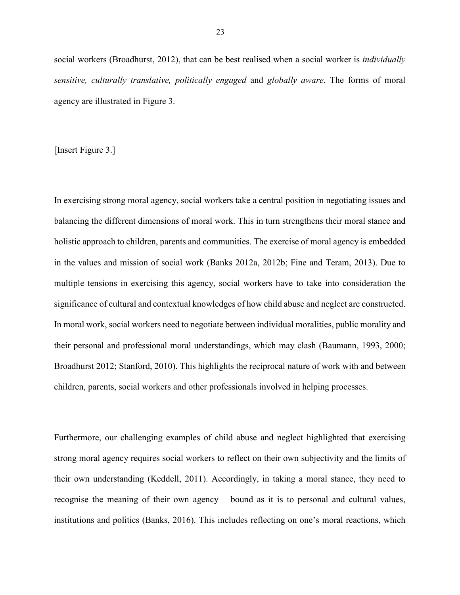social workers (Broadhurst, 2012), that can be best realised when a social worker is *individually sensitive, culturally translative, politically engaged* and *globally aware*. The forms of moral agency are illustrated in Figure 3.

[Insert Figure 3.]

In exercising strong moral agency, social workers take a central position in negotiating issues and balancing the different dimensions of moral work. This in turn strengthens their moral stance and holistic approach to children, parents and communities. The exercise of moral agency is embedded in the values and mission of social work (Banks 2012a, 2012b; Fine and Teram, 2013). Due to multiple tensions in exercising this agency, social workers have to take into consideration the significance of cultural and contextual knowledges of how child abuse and neglect are constructed. In moral work, social workers need to negotiate between individual moralities, public morality and their personal and professional moral understandings, which may clash (Baumann, 1993, 2000; Broadhurst 2012; Stanford, 2010). This highlights the reciprocal nature of work with and between children, parents, social workers and other professionals involved in helping processes.

Furthermore, our challenging examples of child abuse and neglect highlighted that exercising strong moral agency requires social workers to reflect on their own subjectivity and the limits of their own understanding (Keddell, 2011). Accordingly, in taking a moral stance, they need to recognise the meaning of their own agency – bound as it is to personal and cultural values, institutions and politics (Banks, 2016). This includes reflecting on one's moral reactions, which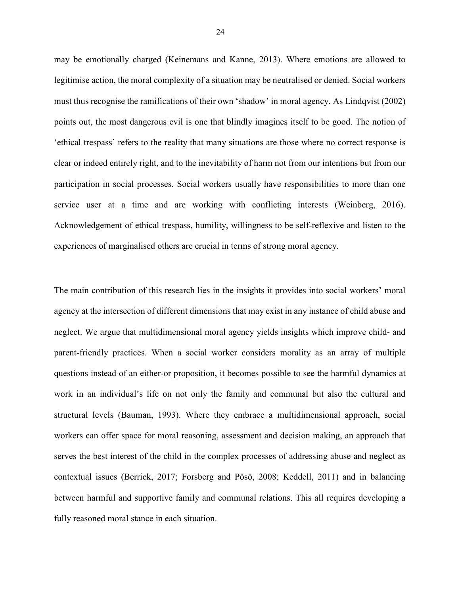may be emotionally charged (Keinemans and Kanne, 2013). Where emotions are allowed to legitimise action, the moral complexity of a situation may be neutralised or denied. Social workers must thus recognise the ramifications of their own 'shadow' in moral agency. As Lindqvist (2002) points out, the most dangerous evil is one that blindly imagines itself to be good. The notion of 'ethical trespass' refers to the reality that many situations are those where no correct response is clear or indeed entirely right, and to the inevitability of harm not from our intentions but from our participation in social processes. Social workers usually have responsibilities to more than one service user at a time and are working with conflicting interests (Weinberg, 2016). Acknowledgement of ethical trespass, humility, willingness to be self-reflexive and listen to the experiences of marginalised others are crucial in terms of strong moral agency.

The main contribution of this research lies in the insights it provides into social workers' moral agency at the intersection of different dimensions that may exist in any instance of child abuse and neglect. We argue that multidimensional moral agency yields insights which improve child- and parent-friendly practices. When a social worker considers morality as an array of multiple questions instead of an either-or proposition, it becomes possible to see the harmful dynamics at work in an individual's life on not only the family and communal but also the cultural and structural levels (Bauman, 1993). Where they embrace a multidimensional approach, social workers can offer space for moral reasoning, assessment and decision making, an approach that serves the best interest of the child in the complex processes of addressing abuse and neglect as contextual issues (Berrick, 2017; Forsberg and Pösö, 2008; Keddell, 2011) and in balancing between harmful and supportive family and communal relations. This all requires developing a fully reasoned moral stance in each situation.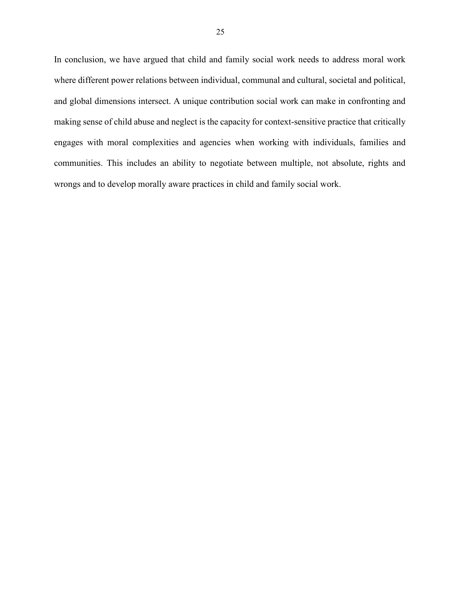In conclusion, we have argued that child and family social work needs to address moral work where different power relations between individual, communal and cultural, societal and political, and global dimensions intersect. A unique contribution social work can make in confronting and making sense of child abuse and neglect is the capacity for context-sensitive practice that critically engages with moral complexities and agencies when working with individuals, families and communities. This includes an ability to negotiate between multiple, not absolute, rights and wrongs and to develop morally aware practices in child and family social work.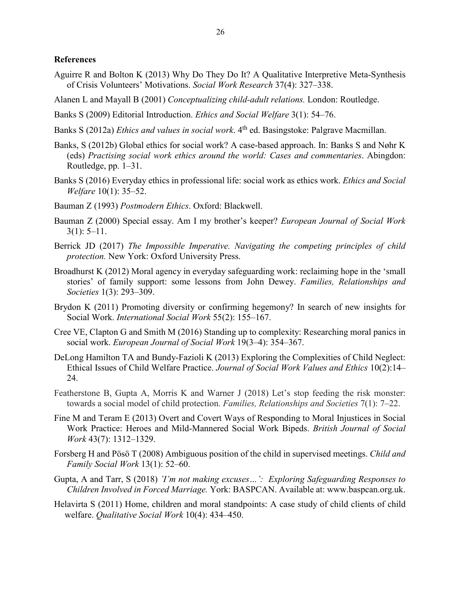# **References**

- Aguirre R and Bolton K (2013) Why Do They Do It? A Qualitative Interpretive Meta-Synthesis of Crisis Volunteers' Motivations. *Social Work Research* 37(4): 327–338.
- Alanen L and Mayall B (2001) *Conceptualizing child-adult relations.* London: Routledge.
- Banks S (2009) Editorial Introduction. *Ethics and Social Welfare* 3(1): 54–76.
- Banks S (2012a) *Ethics and values in social work*. 4<sup>th</sup> ed. Basingstoke: Palgrave Macmillan.
- Banks, S (2012b) Global ethics for social work? A case-based approach. In: Banks S and Nøhr K (eds) *Practising social work ethics around the world: Cases and commentaries*. Abingdon: Routledge, pp. 1–31.
- Banks S (2016) Everyday ethics in professional life: social work as ethics work. *Ethics and Social Welfare* 10(1): 35–52.
- Bauman Z (1993) *Postmodern Ethics*. Oxford: Blackwell.
- Bauman Z (2000) Special essay. Am I my brother's keeper? *European Journal of Social Work*  $3(1): 5-11.$
- Berrick JD (2017) *The Impossible Imperative. Navigating the competing principles of child protection.* New York: Oxford University Press.
- Broadhurst K (2012) Moral agency in everyday safeguarding work: reclaiming hope in the 'small stories' of family support: some lessons from John Dewey. *Families, Relationships and Societies* 1(3): 293–309.
- Brydon K (2011) Promoting diversity or confirming hegemony? In search of new insights for Social Work. *International Social Work* 55(2): 155–167.
- Cree VE, Clapton G and Smith M (2016) Standing up to complexity: Researching moral panics in social work. *European Journal of Social Work* 19(3–4): 354–367.
- DeLong Hamilton TA and Bundy-Fazioli K (2013) Exploring the Complexities of Child Neglect: Ethical Issues of Child Welfare Practice. *Journal of Social Work Values and Ethics* 10(2):14– 24.
- Featherstone B, Gupta A, Morris K and Warner J (2018) Let's stop feeding the risk monster: towards a social model of child protection. *Families, Relationships and Societies* 7(1): 7–22.
- Fine M and Teram E (2013) Overt and Covert Ways of Responding to Moral Injustices in Social Work Practice: Heroes and Mild-Mannered Social Work Bipeds. *British Journal of Social Work* 43(7): 1312–1329.
- Forsberg H and Pösö T (2008) Ambiguous position of the child in supervised meetings. *Child and Family Social Work* 13(1): 52–60.
- Gupta, A and Tarr, S (2018) *'I'm not making excuses…': Exploring Safeguarding Responses to Children Involved in Forced Marriage.* York: BASPCAN. Available at: [www.baspcan.org.uk.](http://www.baspcan.org.uk/)
- Helavirta S (2011) Home, children and moral standpoints: A case study of child clients of child welfare. *Qualitative Social Work* 10(4): 434–450.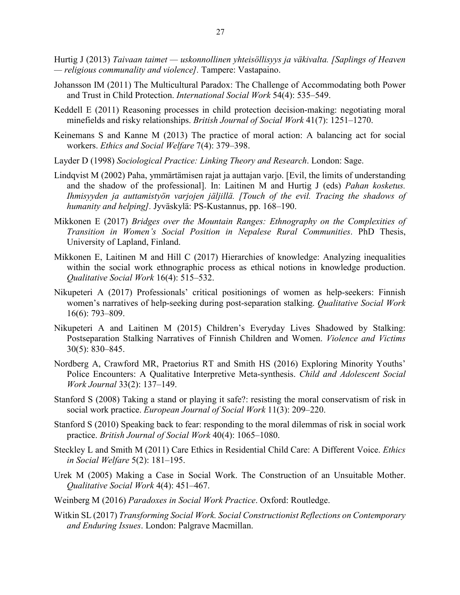- Hurtig J (2013) *Taivaan taimet uskonnollinen yhteisöllisyys ja väkivalta. [Saplings of Heaven — religious communality and violence].* Tampere: Vastapaino.
- Johansson IM (2011) The Multicultural Paradox: The Challenge of Accommodating both Power and Trust in Child Protection. *International Social Work* 54(4): 535–549.
- Keddell E (2011) Reasoning processes in child protection decision-making: negotiating moral minefields and risky relationships. *British Journal of Social Work* 41(7): 1251–1270.
- Keinemans S and Kanne M (2013) The practice of moral action: A balancing act for social workers. *Ethics and Social Welfare* 7(4): 379–398.
- Layder D (1998) *Sociological Practice: Linking Theory and Research*. London: Sage.
- Lindqvist M (2002) Paha, ymmärtämisen rajat ja auttajan varjo. [Evil, the limits of understanding and the shadow of the professional]. In: Laitinen M and Hurtig J (eds) *Pahan kosketus. Ihmisyyden ja auttamistyön varjojen jäljillä. [Touch of the evil. Tracing the shadows of humanity and helping].* Jyväskylä: PS-Kustannus, pp. 168–190.
- Mikkonen E (2017) *Bridges over the Mountain Ranges: Ethnography on the Complexities of Transition in Women's Social Position in Nepalese Rural Communities*. PhD Thesis, University of Lapland, Finland.
- Mikkonen E, Laitinen M and Hill C (2017) Hierarchies of knowledge: Analyzing inequalities within the social work ethnographic process as ethical notions in knowledge production. *Qualitative Social Work* 16(4): 515–532.
- Nikupeteri A (2017) Professionals' critical positionings of women as help-seekers: Finnish women's narratives of help-seeking during post-separation stalking. *Qualitative Social Work* 16(6): 793–809.
- Nikupeteri A and Laitinen M (2015) Children's Everyday Lives Shadowed by Stalking: Postseparation Stalking Narratives of Finnish Children and Women. *Violence and Victims* 30(5): 830–845.
- Nordberg A, Crawford MR, Praetorius RT and Smith HS (2016) Exploring Minority Youths' Police Encounters: A Qualitative Interpretive Meta-synthesis. *Child and Adolescent Social Work Journal* 33(2): 137–149.
- Stanford S (2008) Taking a stand or playing it safe?: resisting the moral conservatism of risk in social work practice. *European Journal of Social Work* 11(3): 209–220.
- Stanford S (2010) Speaking back to fear: responding to the moral dilemmas of risk in social work practice. *British Journal of Social Work* 40(4): 1065–1080.
- Steckley L and Smith M (2011) Care Ethics in Residential Child Care: A Different Voice. *Ethics in Social Welfare* 5(2): 181–195.
- Urek M (2005) Making a Case in Social Work. The Construction of an Unsuitable Mother. *Qualitative Social Work* 4(4): 451–467.
- Weinberg M (2016) *Paradoxes in Social Work Practice*. Oxford: Routledge.
- Witkin SL (2017) *Transforming Social Work. Social Constructionist Reflections on Contemporary and Enduring Issues*. London: Palgrave Macmillan.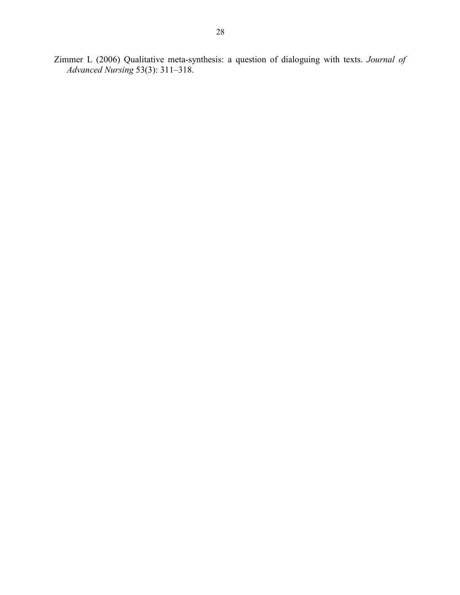Zimmer L (2006) Qualitative meta‐synthesis: a question of dialoguing with texts. *Journal of Advanced Nursing* 53(3): 311–318.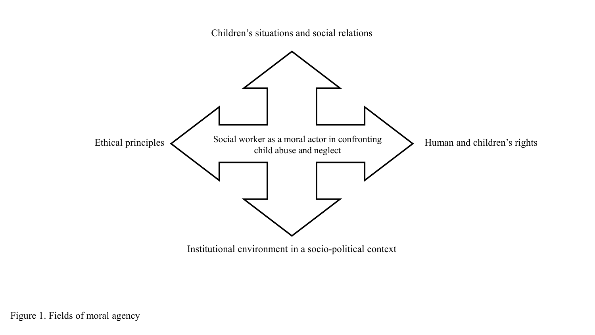Children's situations and social relations



Institutional environment in a socio-political context

Figure 1. Fields of moral agency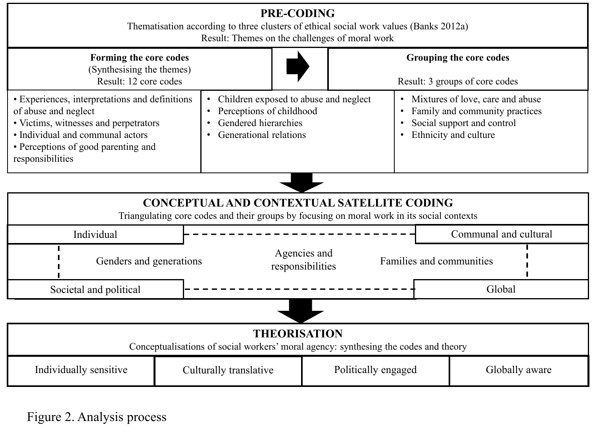|                                                                                                                                                                                                                | Result: Themes on the challenges of moral work | <b>PRE-CODING</b>                                                                                                   | Thematisation according to three clusters of ethical social work values (Banks 2012a) |                                                                                                                                                                    |  |  |  |
|----------------------------------------------------------------------------------------------------------------------------------------------------------------------------------------------------------------|------------------------------------------------|---------------------------------------------------------------------------------------------------------------------|---------------------------------------------------------------------------------------|--------------------------------------------------------------------------------------------------------------------------------------------------------------------|--|--|--|
| Forming the core codes<br>(Synthesising the themes)<br>Result: 12 core codes                                                                                                                                   |                                                |                                                                                                                     | Grouping the core codes<br>Result: 3 groups of core codes                             |                                                                                                                                                                    |  |  |  |
| • Experiences, interpretations and definitions<br>of abuse and neglect<br>• Victims, witnesses and perpetrators<br>· Individual and communal actors<br>• Perceptions of good parenting and<br>responsibilities | $\bullet$                                      | Children exposed to abuse and neglect<br>Perceptions of childhood<br>Gendered hierarchies<br>Generational relations |                                                                                       | • Mixtures of love, care and abuse<br>Family and community practices<br>$\bullet$<br>Social support and control<br>$\bullet$<br>Ethnicity and culture<br>$\bullet$ |  |  |  |
|                                                                                                                                                                                                                |                                                |                                                                                                                     |                                                                                       |                                                                                                                                                                    |  |  |  |
| <b>CONCEPTUAL AND CONTEXTUAL SATELLITE CODING</b><br>Triangulating core codes and their groups by focusing on moral work in its social contexts                                                                |                                                |                                                                                                                     |                                                                                       |                                                                                                                                                                    |  |  |  |
| Individual                                                                                                                                                                                                     |                                                |                                                                                                                     |                                                                                       | Communal and cultural                                                                                                                                              |  |  |  |
| Genders and generations                                                                                                                                                                                        |                                                | Agencies and<br>responsibilities                                                                                    | Families and communities                                                              |                                                                                                                                                                    |  |  |  |
| Societal and political                                                                                                                                                                                         |                                                |                                                                                                                     |                                                                                       | Global                                                                                                                                                             |  |  |  |
|                                                                                                                                                                                                                |                                                |                                                                                                                     |                                                                                       |                                                                                                                                                                    |  |  |  |
| <b>THEORISATION</b><br>Conceptualisations of social workers' moral agency: synthesing the codes and theory                                                                                                     |                                                |                                                                                                                     |                                                                                       |                                                                                                                                                                    |  |  |  |
| Individually sensitive                                                                                                                                                                                         | Culturally translative                         |                                                                                                                     | Politically engaged<br>Globally aware                                                 |                                                                                                                                                                    |  |  |  |